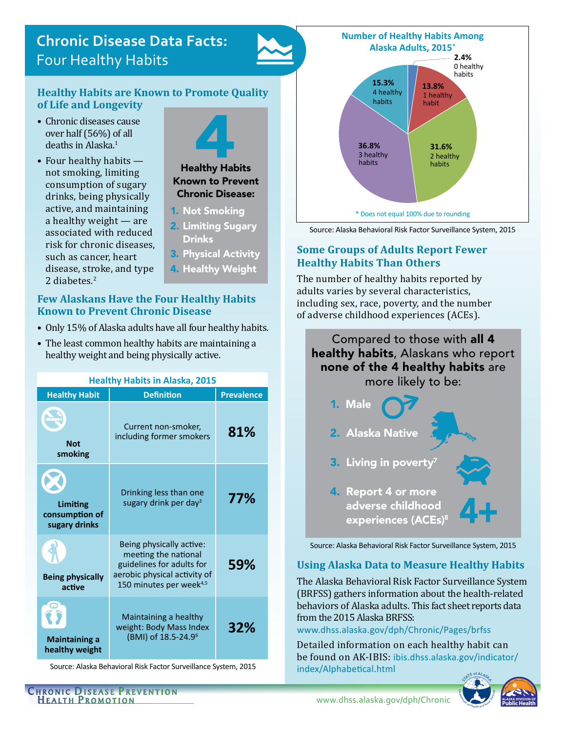# **Chronic Disease Data Facts:**  Four Healthy Habits

#### **Healthy Habits are Known to Promote Quality of Life and Longevity**

- Chronic diseases cause over half (56%) of all deaths in Alaska.<sup>1</sup>
- Four healthy habits not smoking, limiting consumption of sugary drinks, being physically active, and maintaining a healthy weight — are associated with reduced risk for chronic diseases, such as cancer, heart disease, stroke, and type 2 diabetes.<sup>2</sup>



#### **Few Alaskans Have the Four Healthy Habits Known to Prevent Chronic Disease**

- Only 15% of Alaska adults have all four healthy habits.
- The least common healthy habits are maintaining a healthy weight and being physically active.

| <b>Healthy Habits in Alaska, 2015</b>       |                                                                                                                                                      |                   |
|---------------------------------------------|------------------------------------------------------------------------------------------------------------------------------------------------------|-------------------|
| <b>Healthy Habit</b>                        | <b>Definition</b>                                                                                                                                    | <b>Prevalence</b> |
| <b>Not</b><br>smoking                       | Current non-smoker,<br>including former smokers                                                                                                      | 81%               |
| Limiting<br>consumption of<br>sugary drinks | Drinking less than one<br>sugary drink per day <sup>3</sup>                                                                                          | 77%               |
| <b>Being physically</b><br>active           | Being physically active:<br>meeting the national<br>guidelines for adults for<br>aerobic physical activity of<br>150 minutes per week <sup>4,5</sup> | 59%               |
| <b>Maintaining a</b><br>healthy weight      | Maintaining a healthy<br>weight: Body Mass Index<br>(BMI) of 18.5-24.9 <sup>6</sup>                                                                  | 32%               |

Source: Alaska Behavioral Risk Factor Surveillance System, 2015



Source: Alaska Behavioral Risk Factor Surveillance System, 2015

## **Some Groups of Adults Report Fewer Healthy Habits Than Others**

The number of healthy habits reported by adults varies by several characteristics, including sex, race, poverty, and the number of adverse childhood experiences (ACEs).

# Compared to those with all 4 healthy habits, Alaskans who report none of the 4 healthy habits are more likely to be:



Source: Alaska Behavioral Risk Factor Surveillance System, 2015

## **Using Alaska Data to Measure Healthy Habits**

The Alaska Behavioral Risk Factor Surveillance System (BRFSS) gathers information about the health-related behaviors of Alaska adults. This fact sheet reports data from the 2015 Alaska BRFSS:

[www.dhss.alaska.gov/dph/Chronic/Pages/brfss](http://www.dhss.alaska.gov/dph/Chronic/Pages/brfss/default.aspx)

Detailed information on each healthy habit can be found on AK-IBIS: [ibis.dhss.alaska.gov/indicator/](http://ibis.dhss.alaska.gov/indicator/index/Alphabetical.html) [index/Alphabetical.html](http://ibis.dhss.alaska.gov/indicator/index/Alphabetical.html)



[www.dhss.alaska.gov/dph/Chronic](http://www.dhss.alaska.gov/dph/Chronic/Pages/default.aspx)